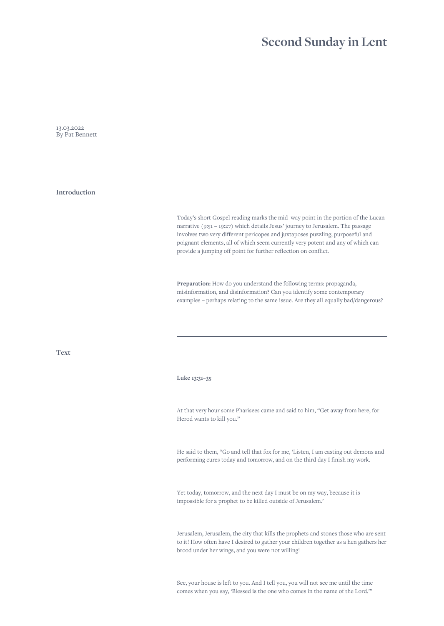## **Second Sunday in Lent**

13.03.2022 By Pat Bennett

**Introduction**

Today's short Gospel reading marks the mid–way point in the portion of the Lucan narrative (9:51 – 19:27) which details Jesus' journey to Jerusalem. The passage involves two very different pericopes and juxtaposes puzzling, purposeful and poignant elements, all of which seem currently very potent and any of which can provide a jumping off point for further reflection on conflict.

**Preparation:** How do you understand the following terms: propaganda, misinformation, and disinformation? Can you identify some contemporary examples – perhaps relating to the same issue. Are they all equally bad/dangerous?

**Text**

## **Luke 13:31–35**

At that very hour some Pharisees came and said to him, "Get away from here, for Herod wants to kill you."

He said to them, "Go and tell that fox for me, 'Listen, I am casting out demons and performing cures today and tomorrow, and on the third day I finish my work.

Yet today, tomorrow, and the next day I must be on my way, because it is impossible for a prophet to be killed outside of Jerusalem.'

Jerusalem, Jerusalem, the city that kills the prophets and stones those who are sent to it! How often have I desired to gather your children together as a hen gathers her brood under her wings, and you were not willing!

See, your house is left to you. And I tell you, you will not see me until the time comes when you say, 'Blessed is the one who comes in the name of the Lord.'"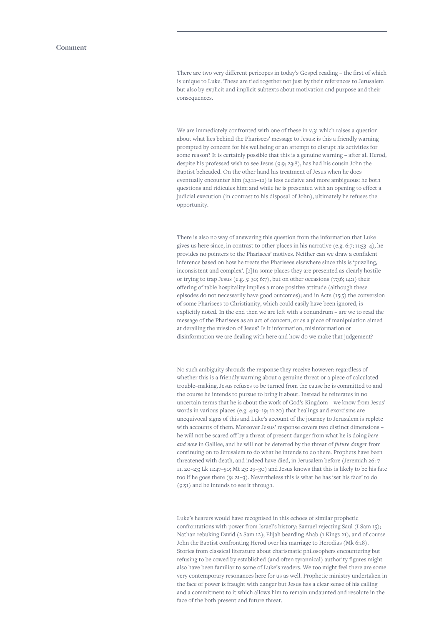<span id="page-1-0"></span>There are two very different pericopes in today's Gospel reading – the first of which is unique to Luke. These are tied together not just by their references to Jerusalem but also by explicit and implicit subtexts about motivation and purpose and their consequences.

We are immediately confronted with one of these in v.31 which raises a question about what lies behind the Pharisees' message to Jesus: is this a friendly warning prompted by concern for his wellbeing or an attempt to disrupt his activities for some reason? It is certainly possible that this is a genuine warning – after all Herod, despite his professed wish to see Jesus (9:9; 23:8), has had his cousin John the Baptist beheaded. On the other hand his treatment of Jesus when he does eventually encounter him (23:11–12) is less decisive and more ambiguous: he both questions and ridicules him; and while he is presented with an opening to effect a judicial execution (in contrast to his disposal of John), ultimately he refuses the opportunity.

There is also no way of answering this question from the information that Luke gives us here since, in contrast to other places in his narrative (e.g. 6:7; 11:53–4), he provides no pointers to the Pharisees' motives. Neither can we draw a confident inference based on how he treats the Pharisees elsewhere since this is 'puzzling, inconsistent and complex'. *[\[1\]](#page-2-0)*In some places they are presented as clearly hostile or trying to trap Jesus (e.g. 5: 30; 6:7), but on other occasions (7:36; 14:1) their offering of table hospitality implies a more positive attitude (although these episodes do not necessarily have good outcomes); and in Acts (15:5) the conversion of some Pharisees to Christianity, which could easily have been ignored, is explicitly noted. In the end then we are left with a conundrum – are we to read the message of the Pharisees as an act of concern, or as a piece of manipulation aimed at derailing the mission of Jesus? Is it information, misinformation or disinformation we are dealing with here and how do we make that judgement?

No such ambiguity shrouds the response they receive however: regardless of whether this is a friendly warning about a genuine threat or a piece of calculated trouble–making, Jesus refuses to be turned from the cause he is committed to and the course he intends to pursue to bring it about. Instead he reiterates in no uncertain terms that he is about the work of God's Kingdom – we know from Jesus' words in various places (e.g. 4:19–19; 11:20) that healings and exorcisms are unequivocal signs of this and Luke's account of the journey to Jerusalem is replete with accounts of them. Moreover Jesus' response covers two distinct dimensions – he will not be scared off by a threat of present danger from what he is doing *here and now* in Galilee, and he will not be deterred by the threat of *future danger* from continuing on to Jerusalem to do what he intends to do there. Prophets have been threatened with death, and indeed have died, in Jerusalem before (Jeremiah 26: 7– 11, 20–23; Lk 11:47–50; Mt 23: 29–30) and Jesus knows that this is likely to be his fate too if he goes there (9: 21–3). Nevertheless this is what he has 'set his face' to do (9:51) and he intends to see it through.

Luke's hearers would have recognised in this echoes of similar prophetic confrontations with power from Israel's history: Samuel rejecting Saul (I Sam 15); Nathan rebuking David (2 Sam 12); Elijah bearding Ahab (1 Kings 21), and of course John the Baptist confronting Herod over his marriage to Herodias (Mk 6:18). Stories from classical literature about charismatic philosophers encountering but refusing to be cowed by established (and often tyrannical) authority figures might also have been familiar to some of Luke's readers. We too might feel there are some very contemporary resonances here for us as well. Prophetic ministry undertaken in the face of power is fraught with danger but Jesus has a clear sense of his calling and a commitment to it which allows him to remain undaunted and resolute in the face of the both present and future threat.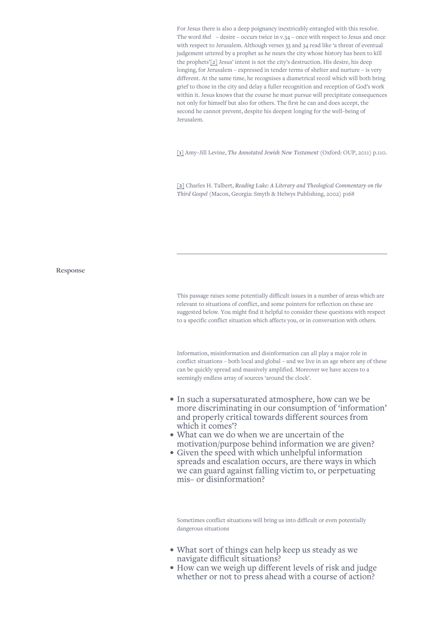<span id="page-2-0"></span>For Jesus there is also a deep poignancy inextricably entangled with this resolve. The word *thel* – desire – occurs twice in v.34 – once with respect to Jesus and once with respect to Jerusalem. Although verses 33 and 34 read like 'a threat of eventual judgement uttered by a prophet as he nears the city whose history has been to kill the prophets'*[2]* Jesus' intent is not the city's destruction. His desire, his deep longing, for Jerusalem – expressed in tender terms of shelter and nurture – is very different. At the same time, he recognises a diametrical recoil which will both bring grief to those in the city and delay a fuller recognition and reception of God's work within it. Jesus knows that the course he must pursue will precipitate consequences not only for himself but also for others. The first he can and does accept, the second he cannot prevent, despite his deepest longing for the well–being of Jerusalem.

**[\[1\]](#page-1-0)** Amy–Jill Levine, *The Annotated Jewish New Testament* (Oxford: OUP, 2011) p.110.

**[2]** Charles H. Talbert, *Reading Luke: A Literary and Theological Commentary on the Third Gospel* (Macon, Georgia: Smyth & Helwys Publishing, 2002) p168

**Response**

This passage raises some potentially difficult issues in a number of areas which are relevant to situations of conflict, and some pointers for reflection on these are suggested below. You might find it helpful to consider these questions with respect to a specific conflict situation which affects you, or in conversation with others.

Information, misinformation and disinformation can all play a major role in conflict situations – both local and global – and we live in an age where any of these can be quickly spread and massively amplified. Moreover we have access to a seemingly endless array of sources 'around the clock'.

- In such a supersaturated atmosphere, how can we be more discriminating in our consumption of 'information' and properly critical towards different sources from which it comes'?
- What can we do when we are uncertain of the motivation/purpose behind information we are given?
- Given the speed with which unhelpful information spreads and escalation occurs, are there ways in which we can guard against falling victim to, or perpetuating mis– or disinformation?

Sometimes conflict situations will bring us into difficult or even potentially dangerous situations

- What sort of things can help keep us steady as we navigate difficult situations?
- How can we weigh up different levels of risk and judge whether or not to press ahead with a course of action?